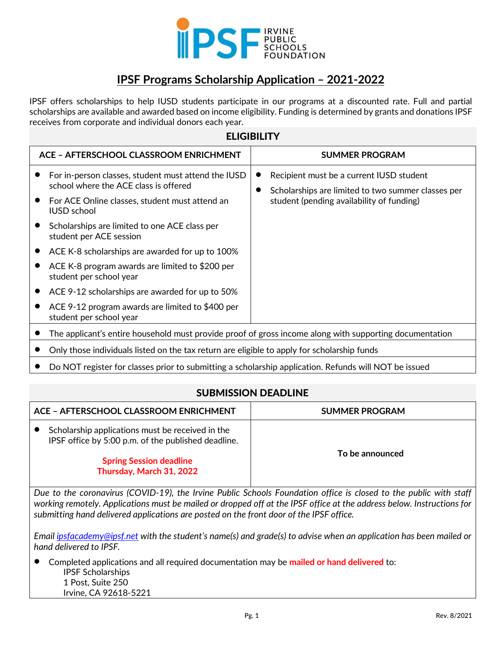

# **IPSF Programs Scholarship Application – 2021-2022**

IPSF offers scholarships to help IUSD students participate in our programs at a discounted rate. Full and partial scholarships are available and awarded based on income eligibility. Funding is determined by grants and donations IPSF receives from corporate and individual donors each year.

| <b>ELIGIBILITY</b>                                                                                                                                                                                                                                                                                                                                                                                                                                                                                                  |                                                                                                                                             |  |  |
|---------------------------------------------------------------------------------------------------------------------------------------------------------------------------------------------------------------------------------------------------------------------------------------------------------------------------------------------------------------------------------------------------------------------------------------------------------------------------------------------------------------------|---------------------------------------------------------------------------------------------------------------------------------------------|--|--|
| <b>ACE - AFTERSCHOOL CLASSROOM ENRICHMENT</b>                                                                                                                                                                                                                                                                                                                                                                                                                                                                       | <b>SUMMER PROGRAM</b>                                                                                                                       |  |  |
| For in-person classes, student must attend the IUSD<br>school where the ACE class is offered<br>For ACE Online classes, student must attend an<br><b>IUSD</b> school<br>Scholarships are limited to one ACE class per<br>student per ACE session<br>ACE K-8 scholarships are awarded for up to 100%<br>ACE K-8 program awards are limited to \$200 per<br>student per school year<br>ACE 9-12 scholarships are awarded for up to 50%<br>ACE 9-12 program awards are limited to \$400 per<br>student per school year | Recipient must be a current IUSD student<br>Scholarships are limited to two summer classes per<br>student (pending availability of funding) |  |  |
| The applicant's entire household must provide proof of gross income along with supporting documentation                                                                                                                                                                                                                                                                                                                                                                                                             |                                                                                                                                             |  |  |
| Only those individuals listed on the tax return are eligible to apply for scholarship funds                                                                                                                                                                                                                                                                                                                                                                                                                         |                                                                                                                                             |  |  |
| Do NOT register for classes prior to submitting a scholarship application. Refunds will NOT be issued                                                                                                                                                                                                                                                                                                                                                                                                               |                                                                                                                                             |  |  |

#### SUBMISSION DEADLINE

| ACE - AFTERSCHOOL CLASSROOM ENRICHMENT                     |                                                                                                         | <b>SUMMER PROGRAM</b> |
|------------------------------------------------------------|---------------------------------------------------------------------------------------------------------|-----------------------|
|                                                            | Scholarship applications must be received in the<br>IPSF office by 5:00 p.m. of the published deadline. | To be announced       |
| <b>Spring Session deadline</b><br>Thursday, March 31, 2022 |                                                                                                         |                       |

*Due to the coronavirus (COVID-19), the Irvine Public Schools Foundation office is closed to the public with staff worki[ng remotely. Applicatio](mailto:ipsfacademy@ipsf.net)ns must be mailed or dropped off at the IPSF office at the address below. Instructions for submitting hand delivered applications are posted on the front door of the IPSF office.*

*Email ipsfacademy@ipsf.net with the student's name(s) and grade(s) to advise when an application has been mailed or hand delivered to IPSF.*

• Completed applications and all required documentation may be **mailed or hand delivered** to: IPSF Scholarships 1 Post, Suite 250 Irvine, CA 92618-5221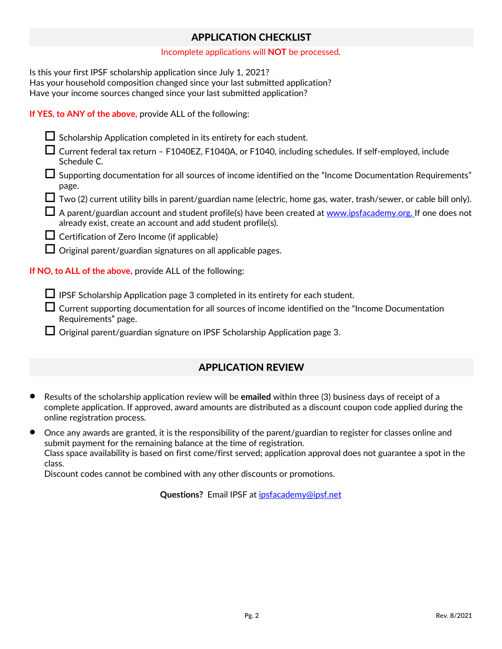### APPLICATION CHECKLIST

#### Incomplete applications will **NOT** be processed.

Is this your first IPSF scholarship application since July 1, 2021? Has your household composition changed since your last submitted application? Have your income sources changed since your last submitted application?

#### **If YES, to ANY of the above,** provide ALL of the following:

| Scholarship Application completed in its entirety for each student.                                                                                                               |
|-----------------------------------------------------------------------------------------------------------------------------------------------------------------------------------|
| Current federal tax return - F1040EZ, F1040A, or F1040, including schedules. If self-employed, include<br>Schedule C.                                                             |
| Supporting documentation for all sources of income identified on the "Income Documentation Requirements"<br>page.                                                                 |
| $\Box$ Two (2) current utility bills in parent/guardian name (electric, home gas, water, trash/sewer, or cable bill only).                                                        |
| $\Box$ A parent/guardian account and student profile(s) have been created at www.ipsfacademy.org. If one does not<br>already exist, create an account and add student profile(s). |
| $\Box$ Certification of Zero Income (if applicable)                                                                                                                               |
| $\Box$ Original parent/guardian signatures on all applicable pages.                                                                                                               |
| If NO, to ALL of the above, provide ALL of the following:                                                                                                                         |
|                                                                                                                                                                                   |

IPSF Scholarship Application page 3 completed in its entirety for each student.

 $\Box$  Current supporting documentation for all sources of income identified on the "Income Documentation Requirements" page.

 $\Box$  Original parent/guardian signature on IPSF Scholarship Application page 3.

### APPLICATION REVIEW

• Results of the scholarship application review will be **emailed** within three (3) business days of receipt of a complete application. If approved, award amounts are distributed as a discount coupon code applied during the online registration process.

• Once any awards are granted, it is the responsibility of the parent/guardian to register for classes online and submit payment for the remaining balance at the time of registration. Class space availability is based on first come/first served; application approval does not guarantee a spot in the class.

Discount codes cannot be combined with any other disc[ounts or promotions.](mailto:ipsfacademy@ipsf.net)

**Questions?** Email IPSF at ipsfacademy@ipsf.net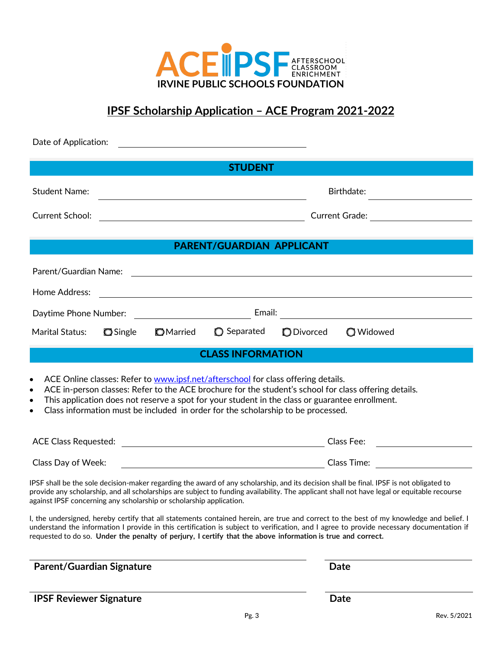

# **IPSF Scholarship Application – ACE Program 2021-2022**

| Date of Application:                                                                                                                                                                                                                                                                                                         |                                                                                                                                                                                                                                                                                                                                                                                                                                   |
|------------------------------------------------------------------------------------------------------------------------------------------------------------------------------------------------------------------------------------------------------------------------------------------------------------------------------|-----------------------------------------------------------------------------------------------------------------------------------------------------------------------------------------------------------------------------------------------------------------------------------------------------------------------------------------------------------------------------------------------------------------------------------|
|                                                                                                                                                                                                                                                                                                                              | <b>STUDENT</b>                                                                                                                                                                                                                                                                                                                                                                                                                    |
| <b>Student Name:</b>                                                                                                                                                                                                                                                                                                         | Birthdate:                                                                                                                                                                                                                                                                                                                                                                                                                        |
| Current School:<br><u> 1980 - Johann Barbara, martxa amerikan personal (</u>                                                                                                                                                                                                                                                 |                                                                                                                                                                                                                                                                                                                                                                                                                                   |
|                                                                                                                                                                                                                                                                                                                              |                                                                                                                                                                                                                                                                                                                                                                                                                                   |
|                                                                                                                                                                                                                                                                                                                              | PARENT/GUARDIAN APPLICANT                                                                                                                                                                                                                                                                                                                                                                                                         |
| Parent/Guardian Name:                                                                                                                                                                                                                                                                                                        | <u> 1989 - Johann Stoff, fransk politik (d. 1989)</u>                                                                                                                                                                                                                                                                                                                                                                             |
| Home Address:                                                                                                                                                                                                                                                                                                                | <u> 1989 - Johann Barnett, fransk politiker (d. 1989)</u>                                                                                                                                                                                                                                                                                                                                                                         |
|                                                                                                                                                                                                                                                                                                                              |                                                                                                                                                                                                                                                                                                                                                                                                                                   |
| Marital Status:<br><b>O</b> Single<br><b>O</b> Married                                                                                                                                                                                                                                                                       | Separated<br><b>O</b> Divorced<br><b>Q</b> Widowed                                                                                                                                                                                                                                                                                                                                                                                |
|                                                                                                                                                                                                                                                                                                                              | <b>CLASS INFORMATION</b>                                                                                                                                                                                                                                                                                                                                                                                                          |
| ACE Online classes: Refer to www.ipsf.net/afterschool for class offering details.<br>$\bullet$<br>$\bullet$<br>This application does not reserve a spot for your student in the class or guarantee enrollment.<br>$\bullet$<br>Class information must be included in order for the scholarship to be processed.<br>$\bullet$ | ACE in-person classes: Refer to the ACE brochure for the student's school for class offering details.                                                                                                                                                                                                                                                                                                                             |
| Class Day of Week:                                                                                                                                                                                                                                                                                                           |                                                                                                                                                                                                                                                                                                                                                                                                                                   |
| against IPSF concerning any scholarship or scholarship application.                                                                                                                                                                                                                                                          | IPSF shall be the sole decision-maker regarding the award of any scholarship, and its decision shall be final. IPSF is not obligated to<br>provide any scholarship, and all scholarships are subject to funding availability. The applicant shall not have legal or equitable recourse<br>I, the undersigned, hereby certify that all statements contained herein, are true and correct to the best of my knowledge and belief. I |
| requested to do so. Under the penalty of perjury, I certify that the above information is true and correct.                                                                                                                                                                                                                  | understand the information I provide in this certification is subject to verification, and I agree to provide necessary documentation if                                                                                                                                                                                                                                                                                          |
| <b>Parent/Guardian Signature</b>                                                                                                                                                                                                                                                                                             | Date                                                                                                                                                                                                                                                                                                                                                                                                                              |
| <b>IPSF Reviewer Signature</b>                                                                                                                                                                                                                                                                                               | <b>Date</b>                                                                                                                                                                                                                                                                                                                                                                                                                       |
|                                                                                                                                                                                                                                                                                                                              | Pg. 3<br>Rev. 5/2021                                                                                                                                                                                                                                                                                                                                                                                                              |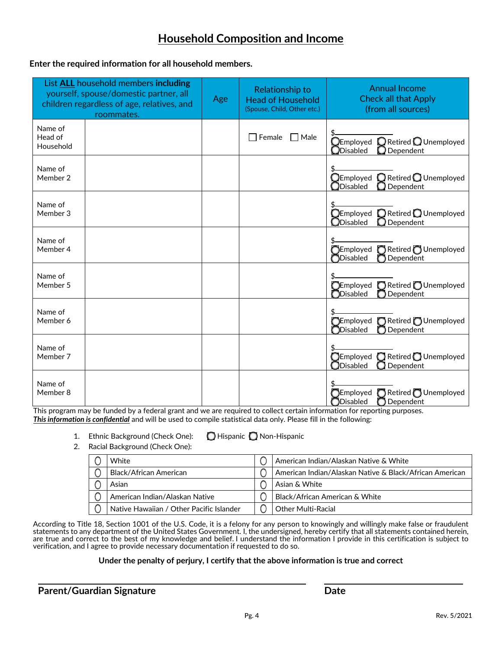## **Household Composition and Income**

#### **Enter the required information for all household members.**

|                                 | List <b>ALL</b> household members including<br>yourself, spouse/domestic partner, all<br>children regardless of age, relatives, and<br>roommates. | Age | Relationship to<br><b>Head of Household</b><br>(Spouse, Child, Other etc.) | <b>Annual Income</b><br><b>Check all that Apply</b><br>(from all sources)                          |
|---------------------------------|---------------------------------------------------------------------------------------------------------------------------------------------------|-----|----------------------------------------------------------------------------|----------------------------------------------------------------------------------------------------|
| Name of<br>Head of<br>Household |                                                                                                                                                   |     | Female<br>$\Box$ Male                                                      | Retired Q Unemployed<br>$\mathbb O$ Employed<br>$\bigcirc$ Disabled<br>$\bigcirc$ Dependent        |
| Name of<br>Member 2             |                                                                                                                                                   |     |                                                                            | $\bigcirc$ Employed $\ \bigcirc$ Retired $\bigcirc$ Unemployed<br>$\bigcirc$ Disabled<br>Dependent |
| Name of<br>Member 3             |                                                                                                                                                   |     |                                                                            | Retired OUnemployed<br>${\mathbb Q}$ Employed<br>$\Box$ Disabled<br>Dependent                      |
| Name of<br>Member 4             |                                                                                                                                                   |     |                                                                            | $\sum$ Employed $\sum$ Retired $\sum$ Unemployed<br>Disabled<br>Dependent                          |
| Name of<br>Member 5             |                                                                                                                                                   |     |                                                                            | $\bigcirc$ Employed $\bigcirc$ Retired $\bigcirc$ Unemployed<br><b>ODisabled</b><br>Dependent      |
| Name of<br>Member 6             |                                                                                                                                                   |     |                                                                            | <b>OEmployed</b> CRetired OUnemployed<br><b>OD</b> isabled<br>Dependent                            |
| Name of<br>Member 7             |                                                                                                                                                   |     |                                                                            | $\bigcap$ Employed $\bigcap$ Retired $\bigcap$ Unemployed<br>$\bigcirc$ Disabled<br>Dependent      |
| Name of<br>Member 8             |                                                                                                                                                   |     |                                                                            | Retired Unemployed<br>$\bigcap$ Employed<br>$\bigcirc$ Disabled<br>Dependent                       |

This program may be funded by a federal grant and we are required to collect certain information for reporting purposes. *This information is confidential* and will be used to compile statistical data only. Please fill in the following:

1. Ethnic Background (Check One): **Q** Hispanic Q Non-Hispanic

2. Racial Background (Check One):

| White                                    | American Indian/Alaskan Native & White                  |
|------------------------------------------|---------------------------------------------------------|
| Black/African American                   | American Indian/Alaskan Native & Black/African American |
| Asian                                    | Asian & White                                           |
| American Indian/Alaskan Native           | Black/African American & White                          |
| Native Hawaiian / Other Pacific Islander | <b>Other Multi-Racial</b>                               |

According to Title 18, Section 1001 of the U.S. Code, it is a felony for any person to knowingly and willingly make false or fraudulent statements to any department of the United States Government. I, the undersigned, hereby certify that all statements contained herein, are true and correct to the best of my knowledge and belief. I understand the information I provide in this certification is subject to verification, and I agree to provide necessary documentation if requested to do so.

#### **Under the penalty of perjury, I certify that the above information is true and correct**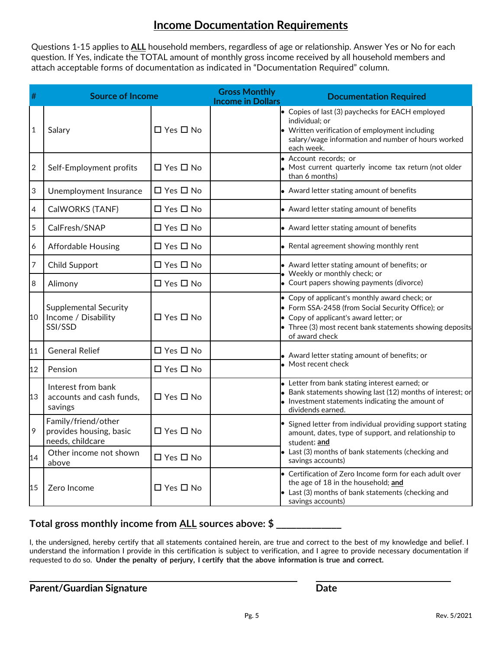## **Income Documentation Requirements**

Questions 1-15 applies to **ALL** household members, regardless of age or relationship. Answer Yes or No for each question. If Yes, indicate the TOTAL amount of monthly gross income received by all household members and attach acceptable forms of documentation as indicated in "Documentation Required" column.

| #              | <b>Source of Income</b>                                            |                      | <b>Gross Monthly</b><br><b>Income in Dollars</b> | <b>Documentation Required</b>                                                                                                                                                                                              |
|----------------|--------------------------------------------------------------------|----------------------|--------------------------------------------------|----------------------------------------------------------------------------------------------------------------------------------------------------------------------------------------------------------------------------|
| $\mathbf{1}$   | Salary                                                             | $\Box$ Yes $\Box$ No |                                                  | • Copies of last (3) paychecks for EACH employed<br>individual; or<br>• Written verification of employment including<br>salary/wage information and number of hours worked<br>each week.                                   |
| $\sqrt{2}$     | Self-Employment profits                                            | $\Box$ Yes $\Box$ No |                                                  | · Account records; or<br>. Most current quarterly income tax return (not older<br>than 6 months)                                                                                                                           |
| 3              | Unemployment Insurance                                             | $\Box$ Yes $\Box$ No |                                                  | • Award letter stating amount of benefits                                                                                                                                                                                  |
| 4              | CalWORKS (TANF)                                                    | $\Box$ Yes $\Box$ No |                                                  | • Award letter stating amount of benefits                                                                                                                                                                                  |
| 5              | CalFresh/SNAP                                                      | $\Box$ Yes $\Box$ No |                                                  | • Award letter stating amount of benefits                                                                                                                                                                                  |
| 6              | <b>Affordable Housing</b>                                          | $\Box$ Yes $\Box$ No |                                                  | • Rental agreement showing monthly rent                                                                                                                                                                                    |
| $\overline{7}$ | Child Support                                                      | $\Box$ Yes $\Box$ No |                                                  | • Award letter stating amount of benefits; or<br>· Weekly or monthly check; or                                                                                                                                             |
| 8              | Alimony                                                            | $\Box$ Yes $\Box$ No |                                                  | • Court papers showing payments (divorce)                                                                                                                                                                                  |
| 10             | <b>Supplemental Security</b><br>Income / Disability<br>SSI/SSD     | $\Box$ Yes $\Box$ No |                                                  | • Copy of applicant's monthly award check; or<br>• Form SSA-2458 (from Social Security Office); or<br>• Copy of applicant's award letter; or<br>• Three (3) most recent bank statements showing deposits<br>of award check |
| 11             | <b>General Relief</b>                                              | □ Yes □ No           |                                                  | • Award letter stating amount of benefits; or                                                                                                                                                                              |
| 12             | Pension                                                            | $\Box$ Yes $\Box$ No |                                                  | • Most recent check                                                                                                                                                                                                        |
| 13             | Interest from bank<br>accounts and cash funds,<br>savings          | $\Box$ Yes $\Box$ No |                                                  | • Letter from bank stating interest earned; or<br>• Bank statements showing last (12) months of interest; or<br>• Investment statements indicating the amount of<br>dividends earned.                                      |
| 9              | Family/friend/other<br>provides housing, basic<br>needs, childcare | $\Box$ Yes $\Box$ No |                                                  | • Signed letter from individual providing support stating<br>amount, dates, type of support, and relationship to<br>student; and                                                                                           |
| 14             | Other income not shown<br>above                                    | $\Box$ Yes $\Box$ No |                                                  | • Last (3) months of bank statements (checking and<br>savings accounts)                                                                                                                                                    |
| 15             | Zero Income                                                        | $\Box$ Yes $\Box$ No |                                                  | • Certification of Zero Income form for each adult over<br>the age of 18 in the household; and<br>• Last (3) months of bank statements (checking and<br>savings accounts)                                                  |

### **Total gross monthly income from ALL sources above: \$ \_\_\_\_\_\_\_\_\_\_\_\_\_**

I, the undersigned, hereby certify that all statements contained herein, are true and correct to the best of my knowledge and belief. I understand the information I provide in this certification is subject to verification, and I agree to provide necessary documentation if requested to do so. **Under the penalty of perjury, I certify that the above information is true and correct.**